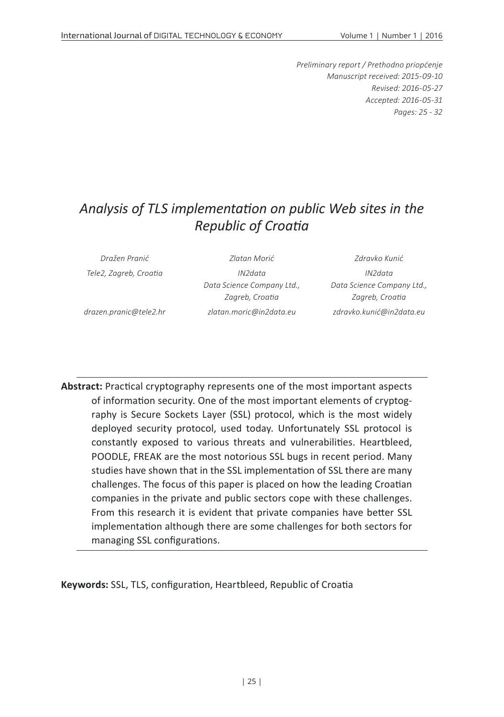*Preliminary report / Prethodno priopćenje Manuscript received: 2015-09-10 Revised: 2016-05-27 Accepted: 2016-05-31 Pages: 25 - 32*

# *Analysis of TLS implementation on public Web sites in the Republic of Croatia*

| Dražen Pranić          | Zlatan Morić               | Zdravko Kunić              |
|------------------------|----------------------------|----------------------------|
| Tele2, Zagreb, Croatia | IN2data                    | IN2data                    |
|                        | Data Science Company Ltd., | Data Science Company Ltd., |
|                        | Zagreb, Croatia            | Zagreb, Croatia            |
| drazen.pranic@tele2.hr | zlatan.moric@in2data.eu    | zdravko.kunić@in2data.eu   |

**Abstract:** Practical cryptography represents one of the most important aspects of information security. One of the most important elements of cryptography is Secure Sockets Layer (SSL) protocol, which is the most widely deployed security protocol, used today. Unfortunately SSL protocol is constantly exposed to various threats and vulnerabilities. Heartbleed, POODLE, FREAK are the most notorious SSL bugs in recent period. Many studies have shown that in the SSL implementation of SSL there are many challenges. The focus of this paper is placed on how the leading Croatian companies in the private and public sectors cope with these challenges. From this research it is evident that private companies have better SSL implementation although there are some challenges for both sectors for managing SSL configurations.

**Keywords:** SSL, TLS, configuration, Heartbleed, Republic of Croatia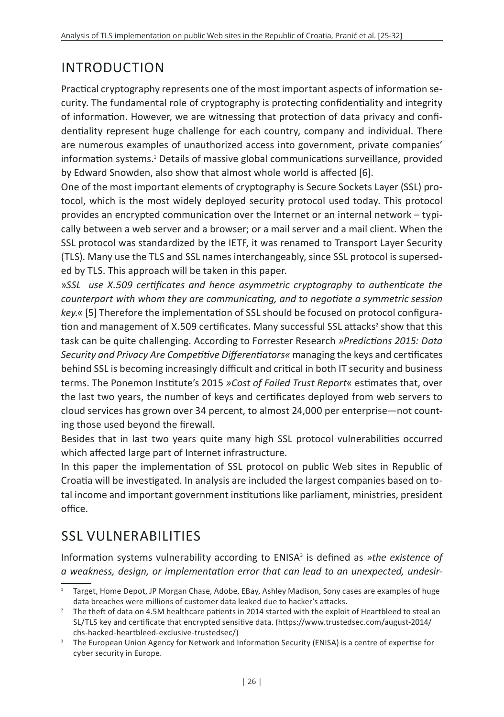# INTRODUCTION

Practical cryptography represents one of the most important aspects of information security. The fundamental role of cryptography is protecting confidentiality and integrity of information. However, we are witnessing that protection of data privacy and confidentiality represent huge challenge for each country, company and individual. There are numerous examples of unauthorized access into government, private companies' information systems.1 Details of massive global communications surveillance, provided by Edward Snowden, also show that almost whole world is affected [6].

One of the most important elements of cryptography is Secure Sockets Layer (SSL) protocol, which is the most widely deployed security protocol used today. This protocol provides an encrypted communication over the Internet or an internal network – typically between a web server and a browser; or a mail server and a mail client. When the SSL protocol was standardized by the IETF, it was renamed to Transport Layer Security (TLS). Many use the TLS and SSL names interchangeably, since SSL protocol is superseded by TLS. This approach will be taken in this paper.

»*SSL use X.509 certificates and hence asymmetric cryptography to authenticate the counterpart with whom they are communicating, and to negotiate a symmetric session key.*« [5] Therefore the implementation of SSL should be focused on protocol configuration and management of X.509 certificates. Many successful SSL attacks<sup>2</sup> show that this task can be quite challenging. According to Forrester Research *»Predictions 2015: Data Security and Privacy Are Competitive Differentiators«* managing the keys and certificates behind SSL is becoming increasingly difficult and critical in both IT security and business terms. The Ponemon Institute's 2015 *»Cost of Failed Trust Report*« estimates that, over the last two years, the number of keys and certificates deployed from web servers to cloud services has grown over 34 percent, to almost 24,000 per enterprise—not counting those used beyond the firewall.

Besides that in last two years quite many high SSL protocol vulnerabilities occurred which affected large part of Internet infrastructure.

In this paper the implementation of SSL protocol on public Web sites in Republic of Croatia will be investigated. In analysis are included the largest companies based on total income and important government institutions like parliament, ministries, president office.

## SSL VIII NFRABILITIES

Information systems vulnerability according to ENISA<sup>3</sup> is defined as *»the existence of a weakness, design, or implementation error that can lead to an unexpected, undesir-*

 $1$  Target, Home Depot, JP Morgan Chase, Adobe, EBay, Ashley Madison, Sony cases are examples of huge data breaches were millions of customer data leaked due to hacker's attacks.<br><sup>2</sup> The theft of data on 4.5M healthcare patients in 2014 started with the exploit of Heartbleed to steal an

SL/TLS key and certificate that encrypted sensitive data. (https://www.trustedsec.com/august-2014/ chs-hacked-heartbleed-exclusive-trustedsec/)

<sup>&</sup>lt;sup>3</sup> The European Union Agency for Network and Information Security (ENISA) is a centre of expertise for cyber security in Europe.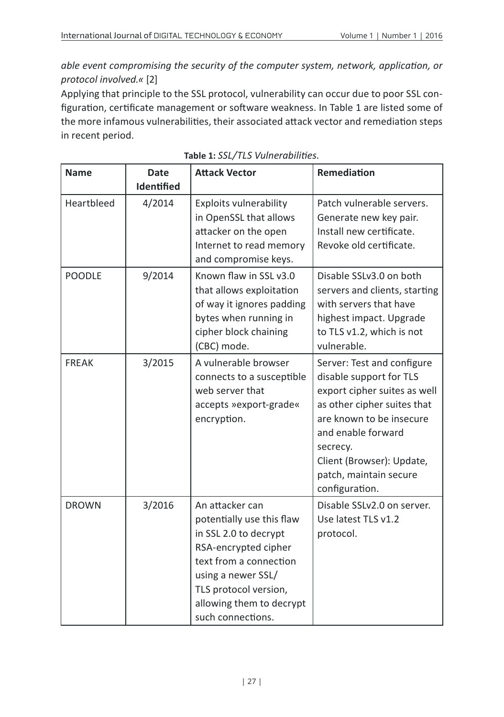*able event compromising the security of the computer system, network, application, or protocol involved.«* [2]

Applying that principle to the SSL protocol, vulnerability can occur due to poor SSL configuration, certificate management or software weakness. In Table 1 are listed some of the more infamous vulnerabilities, their associated attack vector and remediation steps in recent period.

| <b>Name</b>   | <b>Date</b><br><b>Identified</b> | <b>Attack Vector</b>                                                                                                                                                                                                    | Remediation                                                                                                                                                                                                                                                 |
|---------------|----------------------------------|-------------------------------------------------------------------------------------------------------------------------------------------------------------------------------------------------------------------------|-------------------------------------------------------------------------------------------------------------------------------------------------------------------------------------------------------------------------------------------------------------|
| Heartbleed    | 4/2014                           | Exploits vulnerability<br>in OpenSSL that allows<br>attacker on the open<br>Internet to read memory<br>and compromise keys.                                                                                             | Patch vulnerable servers.<br>Generate new key pair.<br>Install new certificate.<br>Revoke old certificate.                                                                                                                                                  |
| <b>POODLE</b> | 9/2014                           | Known flaw in SSL v3.0<br>that allows exploitation<br>of way it ignores padding<br>bytes when running in<br>cipher block chaining<br>(CBC) mode.                                                                        | Disable SSLv3.0 on both<br>servers and clients, starting<br>with servers that have<br>highest impact. Upgrade<br>to TLS v1.2, which is not<br>vulnerable.                                                                                                   |
| <b>FREAK</b>  | 3/2015                           | A vulnerable browser<br>connects to a susceptible<br>web server that<br>accepts »export-grade«<br>encryption.                                                                                                           | Server: Test and configure<br>disable support for TLS<br>export cipher suites as well<br>as other cipher suites that<br>are known to be insecure<br>and enable forward<br>secrecy.<br>Client (Browser): Update,<br>patch, maintain secure<br>configuration. |
| <b>DROWN</b>  | 3/2016                           | An attacker can<br>potentially use this flaw<br>in SSL 2.0 to decrypt<br>RSA-encrypted cipher<br>text from a connection<br>using a newer SSL/<br>TLS protocol version,<br>allowing them to decrypt<br>such connections. | Disable SSLv2.0 on server.<br>Use latest TLS v1.2<br>protocol.                                                                                                                                                                                              |

**Table 1:** *SSL/TLS Vulnerabilities.*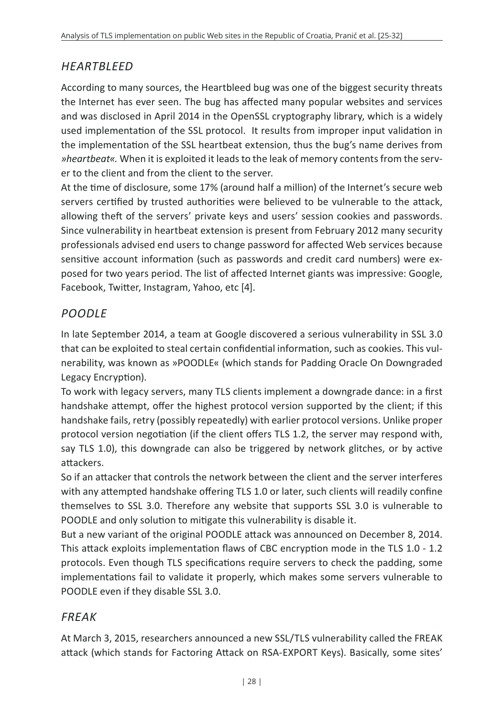## *HEARTBLEED*

According to many sources, the Heartbleed bug was one of the biggest security threats the Internet has ever seen. The bug has affected many popular websites and services and was disclosed in April 2014 in the OpenSSL cryptography library, which is a widely used implementation of the SSL protocol. It results from improper input validation in the implementation of the SSL heartbeat extension, thus the bug's name derives from *»heartbeat«.* When it is exploited it leads to the leak of memory contents from the server to the client and from the client to the server.

At the time of disclosure, some 17% (around half a million) of the Internet's secure web servers certified by trusted authorities were believed to be vulnerable to the attack, allowing theft of the servers' private keys and users' session cookies and passwords. Since vulnerability in heartbeat extension is present from February 2012 many security professionals advised end users to change password for affected Web services because sensitive account information (such as passwords and credit card numbers) were exposed for two years period. The list of affected Internet giants was impressive: Google, Facebook, Twitter, Instagram, Yahoo, etc [4].

## *POODLE*

In late September 2014, a team at Google discovered a serious vulnerability in SSL 3.0 that can be exploited to steal certain confidential information, such as cookies. This vulnerability, was known as »POODLE« (which stands for Padding Oracle On Downgraded Legacy Encryption).

To work with legacy servers, many TLS clients implement a downgrade dance: in a first handshake attempt, offer the highest protocol version supported by the client; if this handshake fails, retry (possibly repeatedly) with earlier protocol versions. Unlike proper protocol version negotiation (if the client offers TLS 1.2, the server may respond with, say TLS 1.0), this downgrade can also be triggered by network glitches, or by active attackers.

So if an attacker that controls the network between the client and the server interferes with any attempted handshake offering TLS 1.0 or later, such clients will readily confine themselves to SSL 3.0. Therefore any website that supports SSL 3.0 is vulnerable to POODLE and only solution to mitigate this vulnerability is disable it.

But a new variant of the original POODLE attack was announced on December 8, 2014. This attack exploits implementation flaws of CBC encryption mode in the TLS 1.0 - 1.2 protocols. Even though TLS specifications require servers to check the padding, some implementations fail to validate it properly, which makes some servers vulnerable to POODLE even if they disable SSL 3.0.

## *FREAK*

At March 3, 2015, researchers announced a new SSL/TLS vulnerability called the FREAK attack (which stands for Factoring Attack on RSA-EXPORT Keys). Basically, some sites'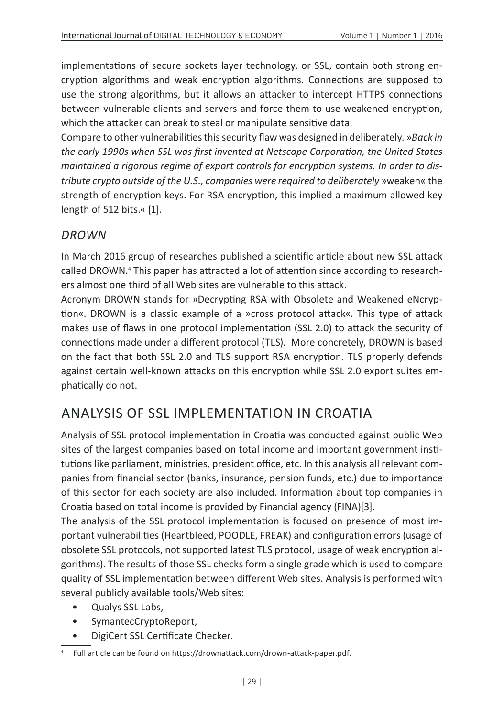implementations of secure sockets layer technology, or SSL, contain both strong encryption algorithms and weak encryption algorithms. Connections are supposed to use the strong algorithms, but it allows an attacker to intercept HTTPS connections between vulnerable clients and servers and force them to use weakened encryption, which the attacker can break to steal or manipulate sensitive data.

Compare to other vulnerabilities this security flaw was designed in deliberately. »*Back in the early 1990s when SSL was first invented at Netscape Corporation, the United States maintained a rigorous regime of export controls for encryption systems. In order to distribute crypto outside of the U.S., companies were required to deliberately* »weaken« the strength of encryption keys. For RSA encryption, this implied a maximum allowed key length of 512 bits.« [1].

#### *DROWN*

In March 2016 group of researches published a scientific article about new SSL attack called DROWN.4 This paper has attracted a lot of attention since according to researchers almost one third of all Web sites are vulnerable to this attack.

Acronym DROWN stands for »Decrypting RSA with Obsolete and Weakened eNcryption«. DROWN is a classic example of a »cross protocol attack«. This type of attack makes use of flaws in one protocol implementation (SSL 2.0) to attack the security of connections made under a different protocol (TLS). More concretely, DROWN is based on the fact that both SSL 2.0 and TLS support RSA encryption. TLS properly defends against certain well-known attacks on this encryption while SSL 2.0 export suites emphatically do not.

## ANALYSIS OF SSL IMPLEMENTATION IN CROATIA

Analysis of SSL protocol implementation in Croatia was conducted against public Web sites of the largest companies based on total income and important government institutions like parliament, ministries, president office, etc. In this analysis all relevant companies from financial sector (banks, insurance, pension funds, etc.) due to importance of this sector for each society are also included. Information about top companies in Croatia based on total income is provided by Financial agency (FINA)[3].

The analysis of the SSL protocol implementation is focused on presence of most important vulnerabilities (Heartbleed, POODLE, FREAK) and configuration errors (usage of obsolete SSL protocols, not supported latest TLS protocol, usage of weak encryption algorithms). The results of those SSL checks form a single grade which is used to compare quality of SSL implementation between different Web sites. Analysis is performed with several publicly available tools/Web sites:

- Qualys SSL Labs,
- SymantecCryptoReport,
- DigiCert SSL Certificate Checker.

<sup>4</sup> Full article can be found on https://drownattack.com/drown-attack-paper.pdf.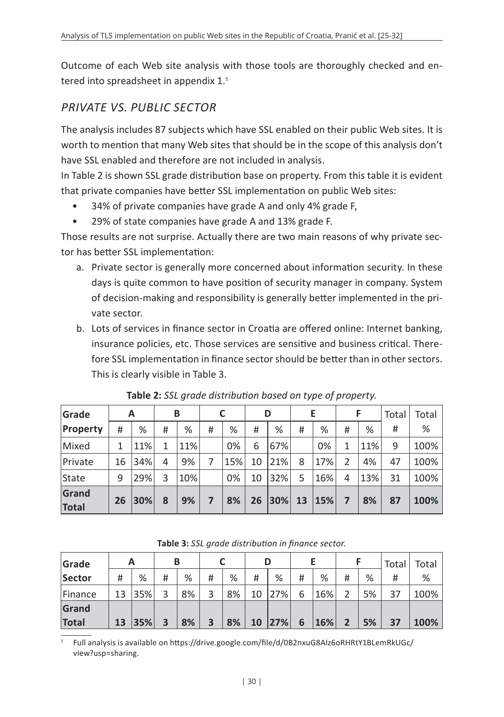Outcome of each Web site analysis with those tools are thoroughly checked and entered into spreadsheet in appendix 1.<sup>5</sup>

## *PRIVATE VS. PUBLIC SECTOR*

The analysis includes 87 subjects which have SSL enabled on their public Web sites. It is worth to mention that many Web sites that should be in the scope of this analysis don't have SSL enabled and therefore are not included in analysis.

In Table 2 is shown SSL grade distribution base on property. From this table it is evident that private companies have better SSL implementation on public Web sites:

- 34% of private companies have grade A and only 4% grade F,
- 29% of state companies have grade A and 13% grade F.

Those results are not surprise. Actually there are two main reasons of why private sector has better SSL implementation:

- a. Private sector is generally more concerned about information security. In these days is quite common to have position of security manager in company. System of decision-making and responsibility is generally better implemented in the private sector.
- b. Lots of services in finance sector in Croatia are offered online: Internet banking, insurance policies, etc. Those services are sensitive and business critical. Therefore SSL implementation in finance sector should be better than in other sectors. This is clearly visible in Table 3.

| Grade                 |    | A   |   | B   |   |     |    | D        |    | E   |   | F   | Total | Total |
|-----------------------|----|-----|---|-----|---|-----|----|----------|----|-----|---|-----|-------|-------|
| Property              | #  | %   | # | %   | # | %   | #  | %        | #  | %   | # | %   | #     | %     |
| Mixed                 | 1  | 11% | 1 | 11% |   | 0%  | 6  | 67%      |    | 0%  | 1 | 11% | 9     | 100%  |
| Private               | 16 | 34% | 4 | 9%  | 7 | 15% | 10 | 21%      | 8  | 17% | 2 | 4%  | 47    | 100%  |
| State                 | 9  | 29% | 3 | 10% |   | 0%  | 10 | 32%      | 5  | 16% | 4 | 13% | 31    | 100%  |
| Grand<br><b>Total</b> | 26 | 30% | 8 | 9%  | 7 | 8%  | 26 | $ 30\% $ | 13 | 15% | 7 | 8%  | 87    | 100%  |

**Table 2:** *SSL grade distribution based on type of property.*

| Grade   |    |     | В                       |    |   |    |    | D   |   |     |                |    | Total | Total |
|---------|----|-----|-------------------------|----|---|----|----|-----|---|-----|----------------|----|-------|-------|
| Sector  | #  | %   | #                       | %  | # | %  | #  | %   | # | %   | #              | %  | #     | %     |
| Finance | 13 | 35% | 3                       | 8% | 3 | 8% | 10 | 27% | 6 | 16% | っ              | 5% | 37    | 100%  |
| Grand   |    |     |                         |    |   |    |    |     |   |     |                |    |       |       |
| Total   | 13 | 35% | $\overline{\mathbf{3}}$ | 8% | 3 | 8% | 10 | 27% | 6 | 16% | $\overline{2}$ | 5% | 37    | 100%  |

**Table 3:** *SSL grade distribution in finance sector.*

<sup>5</sup> Full analysis is available on https://drive.google.com/file/d/0B2nxuG8Alz6oRHRtY1BLemRkUGc/ view?usp=sharing.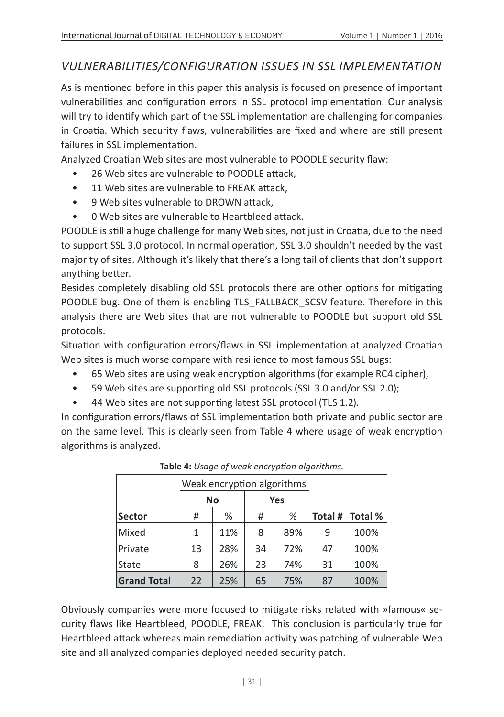### *VULNERABILITIES/CONFIGURATION ISSUES IN SSL IMPLEMENTATION*

As is mentioned before in this paper this analysis is focused on presence of important vulnerabilities and configuration errors in SSL protocol implementation. Our analysis will try to identify which part of the SSL implementation are challenging for companies in Croatia. Which security flaws, vulnerabilities are fixed and where are still present failures in SSL implementation.

Analyzed Croatian Web sites are most vulnerable to POODLE security flaw:

- 26 Web sites are vulnerable to POODLE attack.
- 11 Web sites are vulnerable to FREAK attack,
- 9 Web sites vulnerable to DROWN attack,
- 0 Web sites are vulnerable to Heartbleed attack.

POODLE is still a huge challenge for many Web sites, not just in Croatia, due to the need to support SSL 3.0 protocol. In normal operation, SSL 3.0 shouldn't needed by the vast majority of sites. Although it's likely that there's a long tail of clients that don't support anything better.

Besides completely disabling old SSL protocols there are other options for mitigating POODLE bug. One of them is enabling TLS\_FALLBACK\_SCSV feature. Therefore in this analysis there are Web sites that are not vulnerable to POODLE but support old SSL protocols.

Situation with configuration errors/flaws in SSL implementation at analyzed Croatian Web sites is much worse compare with resilience to most famous SSL bugs:

- 65 Web sites are using weak encryption algorithms (for example RC4 cipher),
- 59 Web sites are supporting old SSL protocols (SSL 3.0 and/or SSL 2.0);
- 44 Web sites are not supporting latest SSL protocol (TLS 1.2).

In configuration errors/flaws of SSL implementation both private and public sector are on the same level. This is clearly seen from Table 4 where usage of weak encryption algorithms is analyzed.

|                    |                  | Weak encryption algorithms |    |     |         |                |
|--------------------|------------------|----------------------------|----|-----|---------|----------------|
|                    | <b>No</b><br>Yes |                            |    |     |         |                |
| <b>Sector</b>      | #                | %                          | #  | %   | Total # | <b>Total %</b> |
| Mixed              | 1                | 11%                        | 8  | 89% | 9       | 100%           |
| Private            | 13               | 28%                        | 34 | 72% | 47      | 100%           |
| State              | 8                | 26%                        | 23 | 74% | 31      | 100%           |
| <b>Grand Total</b> | 22               | 25%                        | 65 | 75% | 87      | 100%           |

| Table 4: Usage of weak encryption algorithms. |  |  |  |
|-----------------------------------------------|--|--|--|
|-----------------------------------------------|--|--|--|

Obviously companies were more focused to mitigate risks related with »famous« security flaws like Heartbleed, POODLE, FREAK. This conclusion is particularly true for Heartbleed attack whereas main remediation activity was patching of vulnerable Web site and all analyzed companies deployed needed security patch.